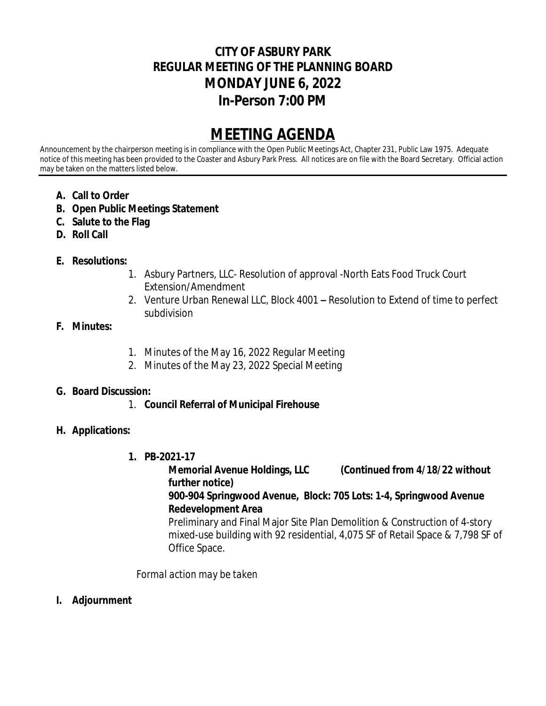# **CITY OF ASBURY PARK REGULAR MEETING OF THE PLANNING BOARD MONDAY JUNE 6, 2022 In-Person 7:00 PM**

# **MEETING AGENDA**

Announcement by the chairperson meeting is in compliance with the Open Public Meetings Act, Chapter 231, Public Law 1975. Adequate notice of this meeting has been provided to the Coaster and Asbury Park Press. All notices are on file with the Board Secretary. Official action may be taken on the matters listed below.

- **A. Call to Order**
- **B. Open Public Meetings Statement**
- **C. Salute to the Flag**
- **D. Roll Call**

## **E. Resolutions:**

- 1. Asbury Partners, LLC- Resolution of approval -North Eats Food Truck Court Extension/Amendment
- 2. Venture Urban Renewal LLC, Block 4001 **–** Resolution to Extend of time to perfect subdivision

#### **F. Minutes:**

- 1. Minutes of the May 16, 2022 Regular Meeting
- 2. Minutes of the May 23, 2022 Special Meeting

#### **G. Board Discussion:**

1. **Council Referral of Municipal Firehouse**

## **H. Applications:**

**1. PB-2021-17**

**Memorial Avenue Holdings, LLC (Continued from 4/18/22 without further notice) 900-904 Springwood Avenue, Block: 705 Lots: 1-4, Springwood Avenue Redevelopment Area**

Preliminary and Final Major Site Plan Demolition & Construction of 4-story mixed-use building with 92 residential, 4,075 SF of Retail Space & 7,798 SF of Office Space.

*Formal action may be taken*

**I. Adjournment**